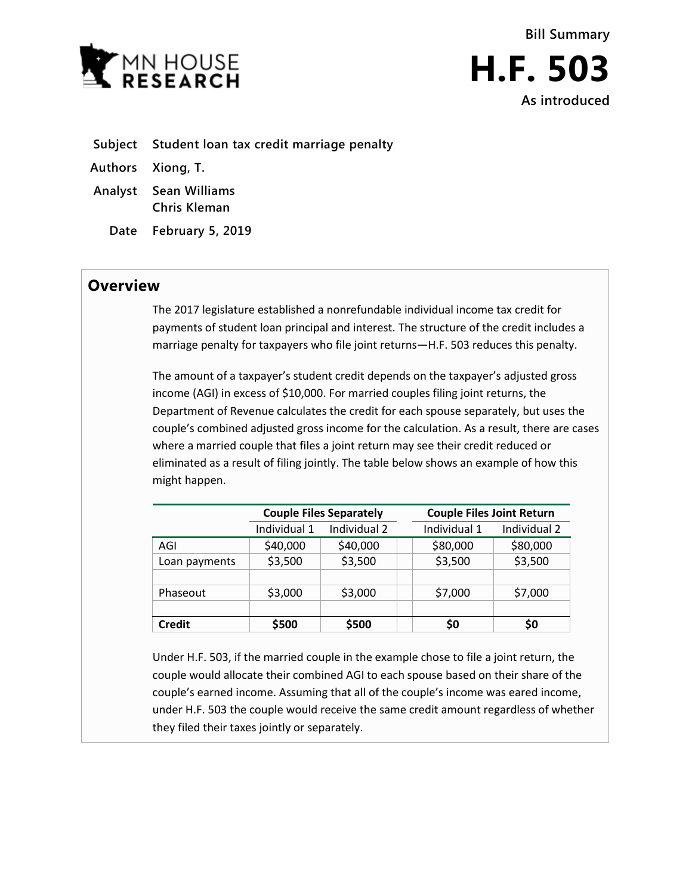

- **Subject Student loan tax credit marriage penalty**
- **Authors Xiong, T.**
- **Analyst Sean Williams Chris Kleman**
	- **Date February 5, 2019**

## **Overview**

The 2017 legislature established a nonrefundable individual income tax credit for payments of student loan principal and interest. The structure of the credit includes a marriage penalty for taxpayers who file joint returns—H.F. 503 reduces this penalty.

The amount of a taxpayer's student credit depends on the taxpayer's adjusted gross income (AGI) in excess of \$10,000. For married couples filing joint returns, the Department of Revenue calculates the credit for each spouse separately, but uses the couple's combined adjusted gross income for the calculation. As a result, there are cases where a married couple that files a joint return may see their credit reduced or eliminated as a result of filing jointly. The table below shows an example of how this might happen.

|               | <b>Couple Files Separately</b> |              | <b>Couple Files Joint Return</b> |              |              |
|---------------|--------------------------------|--------------|----------------------------------|--------------|--------------|
|               | Individual 1                   | Individual 2 |                                  | Individual 1 | Individual 2 |
| AGI           | \$40,000                       | \$40,000     |                                  | \$80,000     | \$80,000     |
| Loan payments | \$3,500                        | \$3,500      |                                  | \$3,500      | \$3,500      |
|               |                                |              |                                  |              |              |
| Phaseout      | \$3,000                        | \$3,000      |                                  | \$7,000      | \$7,000      |
|               |                                |              |                                  |              |              |
| <b>Credit</b> | \$500                          | \$500        |                                  | \$0          | S0           |

Under H.F. 503, if the married couple in the example chose to file a joint return, the couple would allocate their combined AGI to each spouse based on their share of the couple's earned income. Assuming that all of the couple's income was eared income, under H.F. 503 the couple would receive the same credit amount regardless of whether they filed their taxes jointly or separately.